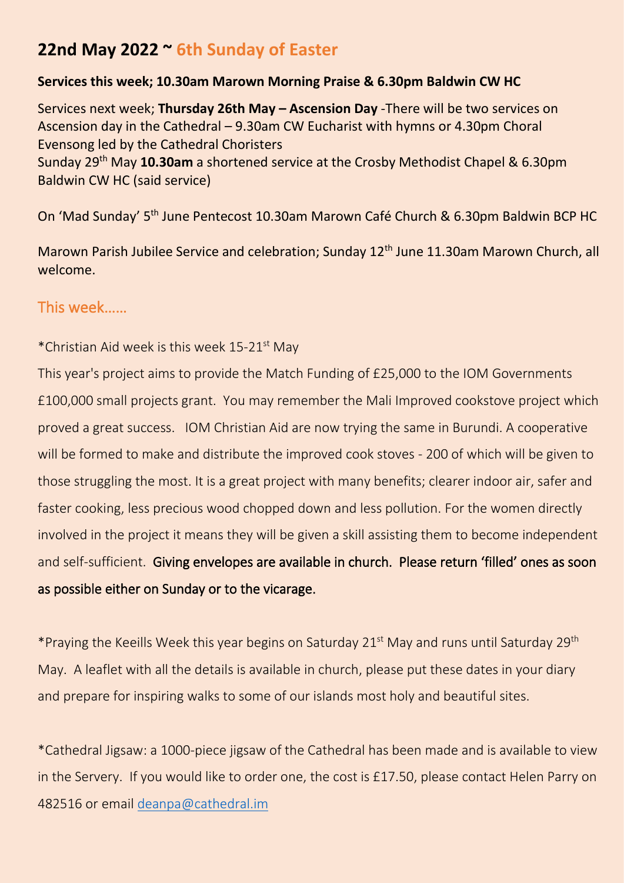# **22nd May 2022 ~ 6th Sunday of Easter**

#### **Services this week; 10.30am Marown Morning Praise & 6.30pm Baldwin CW HC**

Services next week; **Thursday 26th May – Ascension Day** -There will be two services on Ascension day in the Cathedral – 9.30am CW Eucharist with hymns or 4.30pm Choral Evensong led by the Cathedral Choristers

Sunday 29th May **10.30am** a shortened service at the Crosby Methodist Chapel & 6.30pm Baldwin CW HC (said service)

On 'Mad Sunday' 5<sup>th</sup> June Pentecost 10.30am Marown Café Church & 6.30pm Baldwin BCP HC

Marown Parish Jubilee Service and celebration; Sunday 12<sup>th</sup> June 11.30am Marown Church, all welcome.

## This week……

#### \*Christian Aid week is this week 15-21st May

This year's project aims to provide the Match Funding of £25,000 to the IOM Governments £100,000 small projects grant. You may remember the Mali Improved cookstove project which proved a great success. IOM Christian Aid are now trying the same in Burundi. A cooperative will be formed to make and distribute the improved cook stoves - 200 of which will be given to those struggling the most. It is a great project with many benefits; clearer indoor air, safer and faster cooking, less precious wood chopped down and less pollution. For the women directly involved in the project it means they will be given a skill assisting them to become independent and self-sufficient. Giving envelopes are available in church. Please return 'filled' ones as soon as possible either on Sunday or to the vicarage.

\*Praying the Keeills Week this year begins on Saturday 21st May and runs until Saturday 29th May. A leaflet with all the details is available in church, please put these dates in your diary and prepare for inspiring walks to some of our islands most holy and beautiful sites.

\*Cathedral Jigsaw: a 1000-piece jigsaw of the Cathedral has been made and is available to view in the Servery. If you would like to order one, the cost is £17.50, please contact Helen Parry on 482516 or email [deanpa@cathedral.im](mailto:deanpa@cathedral.im)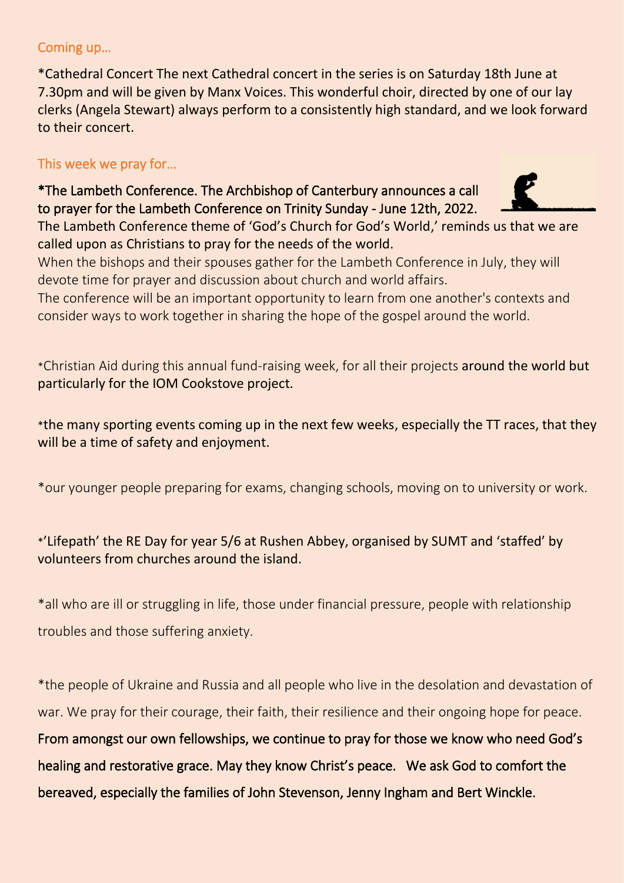#### Coming up…

\*Cathedral Concert The next Cathedral concert in the series is on Saturday 18th June at 7.30pm and will be given by Manx Voices. This wonderful choir, directed by one of our lay clerks (Angela Stewart) always perform to a consistently high standard, and we look forward to their concert.

# This week we pray for…

\*The Lambeth Conference. The Archbishop of Canterbury announces a call to prayer for the Lambeth Conference on Trinity Sunday - June 12th, 2022.



The Lambeth Conference theme of 'God's Church for God's World,' reminds us that we are called upon as Christians to pray for the needs of the world.

When the bishops and their spouses gather for the Lambeth Conference in July, they will devote time for prayer and discussion about church and world affairs.

The conference will be an important opportunity to learn from one another's contexts and consider ways to work together in sharing the hope of the gospel around the world.

\*Christian Aid during this annual fund-raising week, for all their projects around the world but particularly for the IOM Cookstove project.

\*the many sporting events coming up in the next few weeks, especially the TT races, that they will be a time of safety and enjoyment.

\*our younger people preparing for exams, changing schools, moving on to university or work.

## \*'Lifepath' the RE Day for year 5/6 at Rushen Abbey, organised by SUMT and 'staffed' by volunteers from churches around the island.

\*all who are ill or struggling in life, those under financial pressure, people with relationship troubles and those suffering anxiety.

\*the people of Ukraine and Russia and all people who live in the desolation and devastation of war. We pray for their courage, their faith, their resilience and their ongoing hope for peace. From amongst our own fellowships, we continue to pray for those we know who need God's healing and restorative grace. May they know Christ's peace. We ask God to comfort the bereaved, especially the families of John Stevenson, Jenny Ingham and Bert Winckle.